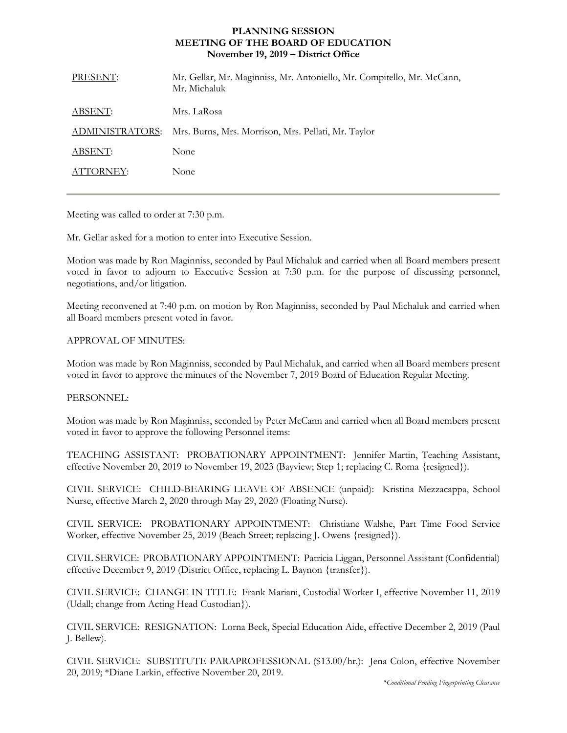# **PLANNING SESSION MEETING OF THE BOARD OF EDUCATION November 19, 2019 – District Office**

| PRESENT:        | Mr. Gellar, Mr. Maginniss, Mr. Antoniello, Mr. Compitello, Mr. McCann,<br>Mr. Michaluk |
|-----------------|----------------------------------------------------------------------------------------|
| ABSENT:         | Mrs. LaRosa                                                                            |
| ADMINISTRATORS: | Mrs. Burns, Mrs. Morrison, Mrs. Pellati, Mr. Taylor                                    |
| ABSENT:         | None                                                                                   |
| ATTORNEY:       | None                                                                                   |
|                 |                                                                                        |

Meeting was called to order at 7:30 p.m.

Mr. Gellar asked for a motion to enter into Executive Session.

Motion was made by Ron Maginniss, seconded by Paul Michaluk and carried when all Board members present voted in favor to adjourn to Executive Session at 7:30 p.m. for the purpose of discussing personnel, negotiations, and/or litigation.

Meeting reconvened at 7:40 p.m. on motion by Ron Maginniss, seconded by Paul Michaluk and carried when all Board members present voted in favor.

## APPROVAL OF MINUTES:

Motion was made by Ron Maginniss, seconded by Paul Michaluk, and carried when all Board members present voted in favor to approve the minutes of the November 7, 2019 Board of Education Regular Meeting.

## PERSONNEL:

Motion was made by Ron Maginniss, seconded by Peter McCann and carried when all Board members present voted in favor to approve the following Personnel items:

TEACHING ASSISTANT: PROBATIONARY APPOINTMENT: Jennifer Martin, Teaching Assistant, effective November 20, 2019 to November 19, 2023 (Bayview; Step 1; replacing C. Roma {resigned}).

CIVIL SERVICE: CHILD-BEARING LEAVE OF ABSENCE (unpaid): Kristina Mezzacappa, School Nurse, effective March 2, 2020 through May 29, 2020 (Floating Nurse).

CIVIL SERVICE: PROBATIONARY APPOINTMENT: Christiane Walshe, Part Time Food Service Worker, effective November 25, 2019 (Beach Street; replacing J. Owens {resigned}).

CIVIL SERVICE: PROBATIONARY APPOINTMENT: Patricia Liggan, Personnel Assistant (Confidential) effective December 9, 2019 (District Office, replacing L. Baynon {transfer}).

CIVIL SERVICE: CHANGE IN TITLE: Frank Mariani, Custodial Worker I, effective November 11, 2019 (Udall; change from Acting Head Custodian}).

CIVIL SERVICE: RESIGNATION: Lorna Beck, Special Education Aide, effective December 2, 2019 (Paul J. Bellew).

CIVIL SERVICE: SUBSTITUTE PARAPROFESSIONAL (\$13.00/hr.): Jena Colon, effective November 20, 2019; \*Diane Larkin, effective November 20, 2019.